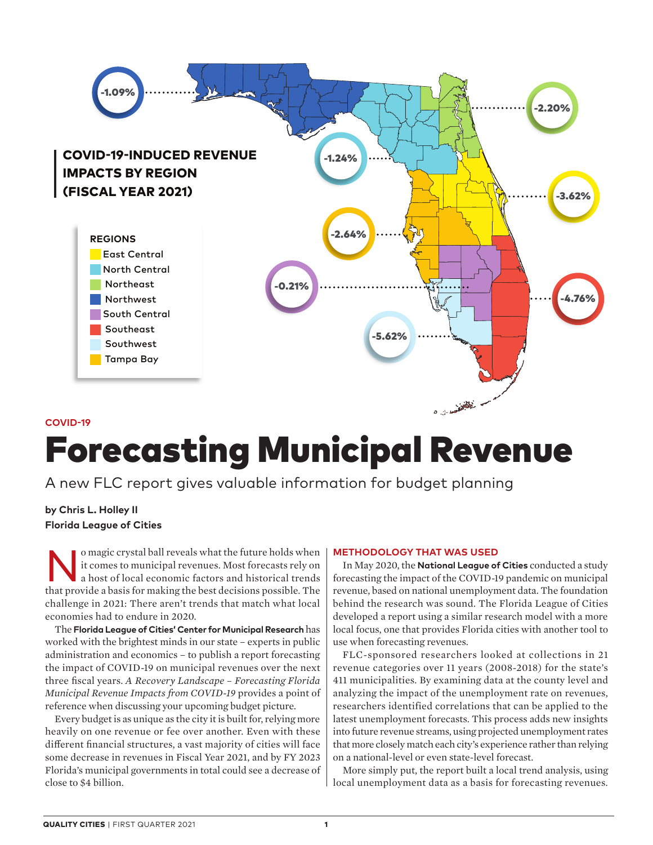

## **COVID-19**

# Forecasting Municipal Revenue

A new FLC report gives valuable information for budget planning

# **by Chris L. Holley II Florida League of Cities**

In the future holds when it comes to municipal revenues. Most forecasts rely on a host of local economic factors and historical trends it comes to municipal revenues. Most forecasts rely on that provide a basis for making the best decisions possible. The challenge in 2021: There aren't trends that match what local economies had to endure in 2020.

The **Florida League of Cities' Center for Municipal Research** has worked with the brightest minds in our state – experts in public administration and economics – to publish a report forecasting the impact of COVID-19 on municipal revenues over the next three fiscal years. *A Recovery Landscape – Forecasting Florida Municipal Revenue Impacts from COVID-19* provides a point of reference when discussing your upcoming budget picture.

Every budget is as unique as the city it is built for, relying more heavily on one revenue or fee over another. Even with these different financial structures, a vast majority of cities will face some decrease in revenues in Fiscal Year 2021, and by FY 2023 Florida's municipal governments in total could see a decrease of close to \$4 billion.

#### **METHODOLOGY THAT WAS USED**

In May 2020, the **National League of Cities** conducted a study forecasting the impact of the COVID-19 pandemic on municipal revenue, based on national unemployment data. The foundation behind the research was sound. The Florida League of Cities developed a report using a similar research model with a more local focus, one that provides Florida cities with another tool to use when forecasting revenues.

FLC-sponsored researchers looked at collections in 21 revenue categories over 11 years (2008-2018) for the state's 411 municipalities. By examining data at the county level and analyzing the impact of the unemployment rate on revenues, researchers identified correlations that can be applied to the latest unemployment forecasts. This process adds new insights into future revenue streams, using projected unemployment rates that more closely match each city's experience rather than relying on a national-level or even state-level forecast.

More simply put, the report built a local trend analysis, using local unemployment data as a basis for forecasting revenues.

56 **QUALITY CITIES** | FIRST QUARTER 2021